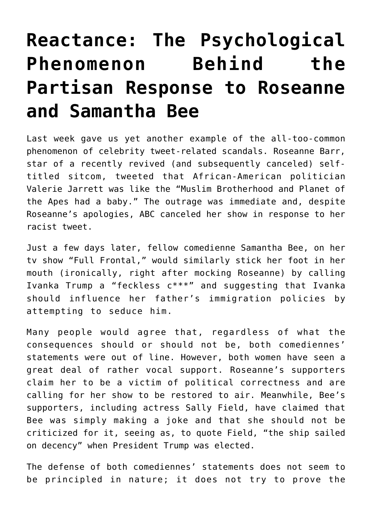# **[Reactance: The Psychological](https://intellectualtakeout.org/2018/06/reactance-the-psychological-phenomenon-behind-the-partisan-response-to-roseanne-and-samantha-bee/) [Phenomenon Behind the](https://intellectualtakeout.org/2018/06/reactance-the-psychological-phenomenon-behind-the-partisan-response-to-roseanne-and-samantha-bee/) [Partisan Response to Roseanne](https://intellectualtakeout.org/2018/06/reactance-the-psychological-phenomenon-behind-the-partisan-response-to-roseanne-and-samantha-bee/) [and Samantha Bee](https://intellectualtakeout.org/2018/06/reactance-the-psychological-phenomenon-behind-the-partisan-response-to-roseanne-and-samantha-bee/)**

Last week gave us yet another example of the all-too-common phenomenon of celebrity tweet-related scandals. Roseanne Barr, star of a recently revived (and subsequently canceled) selftitled sitcom, tweeted that African-American politician Valerie Jarrett was like the "Muslim Brotherhood and Planet of the Apes had a baby." The outrage was immediate and, despite Roseanne's apologies, ABC canceled her show in response to her racist tweet.

Just a few days later, fellow comedienne Samantha Bee, on her tv show "Full Frontal," would similarly stick her foot in her mouth (ironically, right after mocking Roseanne) by calling Ivanka Trump a "feckless c\*\*\*" and suggesting that Ivanka should influence her father's immigration policies by attempting to seduce him.

Many people would agree that, regardless of what the consequences should or should not be, both comediennes' statements were out of line. However, both women have seen a great deal of rather vocal support. Roseanne's supporters claim her to be a victim of political correctness and are calling for her show to be restored to air. Meanwhile, Bee's supporters, including actress Sally Field, have claimed that Bee was simply making a joke and that she should not be criticized for it, seeing as, to quote Field, "the ship sailed on decency" when President Trump was elected.

The defense of both comediennes' statements does not seem to be principled in nature; it does not try to prove the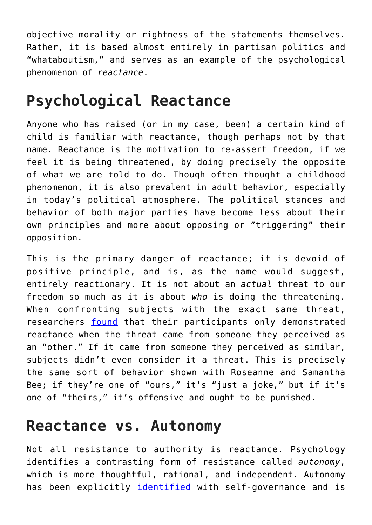objective morality or rightness of the statements themselves. Rather, it is based almost entirely in partisan politics and "whataboutism," and serves as an example of the psychological phenomenon of *reactance*.

### **Psychological Reactance**

Anyone who has raised (or in my case, been) a certain kind of child is familiar with reactance, though perhaps not by that name. Reactance is the motivation to re-assert freedom, if we feel it is being threatened, by doing precisely the opposite of what we are told to do. Though often thought a childhood phenomenon, it is also prevalent in adult behavior, especially in today's political atmosphere. The political stances and behavior of both major parties have become less about their own principles and more about opposing or "triggering" their opposition.

This is the primary danger of reactance; it is devoid of positive principle, and is, as the name would suggest, entirely reactionary. It is not about an *actual* threat to our freedom so much as it is about *who* is doing the threatening. When confronting subjects with the exact same threat, researchers [found](http://www.communicationcache.com/uploads/1/0/8/8/10887248/deflecting_reactance-_the_role_of_similarity_in_increasing_compliance_and_reducing_resistance.pdf) that their participants only demonstrated reactance when the threat came from someone they perceived as an "other." If it came from someone they perceived as similar, subjects didn't even consider it a threat. This is precisely the same sort of behavior shown with Roseanne and Samantha Bee; if they're one of "ours," it's "just a joke," but if it's one of "theirs," it's offensive and ought to be punished.

#### **Reactance vs. Autonomy**

Not all resistance to authority is reactance. Psychology identifies a contrasting form of resistance called *autonomy*, which is more thoughtful, rational, and independent. Autonomy has been explicitly [identified](https://selfdeterminationtheory.org/SDT/documents/2009_PaveySparks_MOEM.pdf) with self-governance and is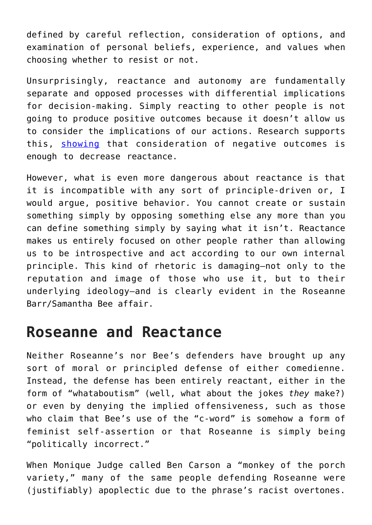defined by careful reflection, consideration of options, and examination of personal beliefs, experience, and values when choosing whether to resist or not.

Unsurprisingly, reactance and autonomy are fundamentally separate and opposed processes with differential implications for decision-making. Simply reacting to other people is not going to produce positive outcomes because it doesn't allow us to consider the implications of our actions. Research supports this, [showing](http://www.communicationcache.com/uploads/1/0/8/8/10887248/reactance_compliance_and_anticipated_regret.pdf) that consideration of negative outcomes is enough to decrease reactance.

However, what is even more dangerous about reactance is that it is incompatible with any sort of principle-driven or, I would argue, positive behavior. You cannot create or sustain something simply by opposing something else any more than you can define something simply by saying what it isn't. Reactance makes us entirely focused on other people rather than allowing us to be introspective and act according to our own internal principle. This kind of rhetoric is damaging—not only to the reputation and image of those who use it, but to their underlying ideology—and is clearly evident in the Roseanne Barr/Samantha Bee affair.

#### **Roseanne and Reactance**

Neither Roseanne's nor Bee's defenders have brought up any sort of moral or principled defense of either comedienne. Instead, the defense has been entirely reactant, either in the form of "whataboutism" (well, what about the jokes *they* make?) or even by denying the implied offensiveness, such as those who claim that Bee's use of the "c-word" is somehow a form of feminist self-assertion or that Roseanne is simply being "politically incorrect."

When Monique Judge called Ben Carson a "monkey of the porch variety," many of the same people defending Roseanne were (justifiably) apoplectic due to the phrase's racist overtones.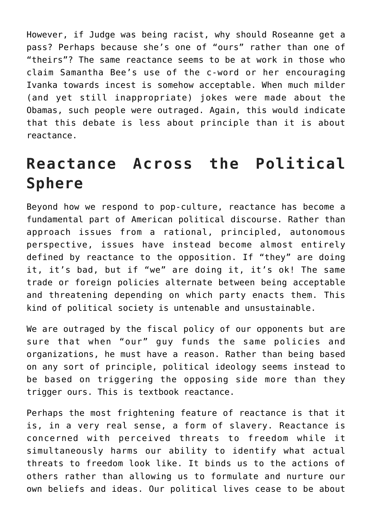However, if Judge was being racist, why should Roseanne get a pass? Perhaps because she's one of "ours" rather than one of "theirs"? The same reactance seems to be at work in those who claim Samantha Bee's use of the c-word or her encouraging Ivanka towards incest is somehow acceptable. When much milder (and yet still inappropriate) jokes were made about the Obamas, such people were outraged. Again, this would indicate that this debate is less about principle than it is about reactance.

## **Reactance Across the Political Sphere**

Beyond how we respond to pop-culture, reactance has become a fundamental part of American political discourse. Rather than approach issues from a rational, principled, autonomous perspective, issues have instead become almost entirely defined by reactance to the opposition. If "they" are doing it, it's bad, but if "we" are doing it, it's ok! The same trade or foreign policies alternate between being acceptable and threatening depending on which party enacts them. This kind of political society is untenable and unsustainable.

We are outraged by the fiscal policy of our opponents but are sure that when "our" guy funds the same policies and organizations, he must have a reason. Rather than being based on any sort of principle, political ideology seems instead to be based on triggering the opposing side more than they trigger ours. This is textbook reactance.

Perhaps the most frightening feature of reactance is that it is, in a very real sense, a form of slavery. Reactance is concerned with perceived threats to freedom while it simultaneously harms our ability to identify what actual threats to freedom look like. It binds us to the actions of others rather than allowing us to formulate and nurture our own beliefs and ideas. Our political lives cease to be about